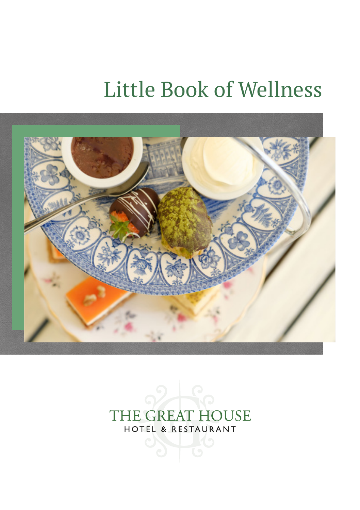# Little Book of Wellness



#### THE GREAT HOUSE HOTEL & RESTAURANT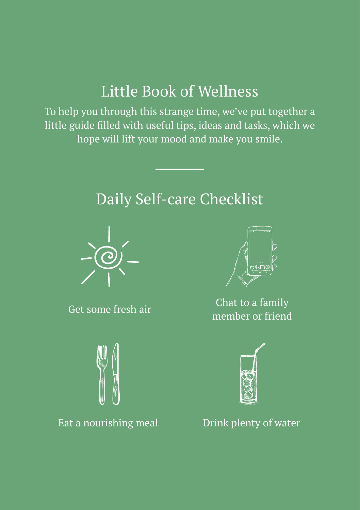## Little Book of Wellness

To help you through this strange time, we've put together a little guide filled with useful tips, ideas and tasks, which we hope will lift your mood and make you smile.

# Daily Self-care Checklist



Get some fresh air



Eat a nourishing meal Drink plenty of water



Chat to a family member or friend

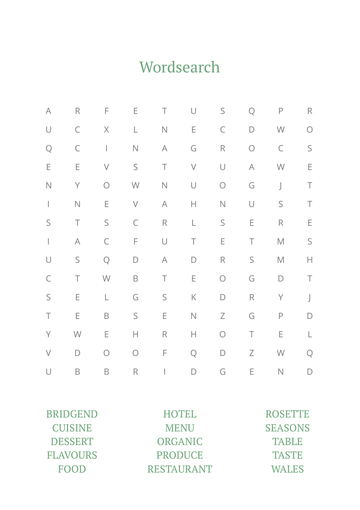# Wordsearch

| $\forall$   | R           | F                                                                                                                                                                                                                                                                                                                                                                                | E                                                                                     | $\top$                   | U          | S           | Q      | $\mathsf P$ | $\mathsf R$          |
|-------------|-------------|----------------------------------------------------------------------------------------------------------------------------------------------------------------------------------------------------------------------------------------------------------------------------------------------------------------------------------------------------------------------------------|---------------------------------------------------------------------------------------|--------------------------|------------|-------------|--------|-------------|----------------------|
| U           | C           | Χ                                                                                                                                                                                                                                                                                                                                                                                | L                                                                                     | $\hbox{N}$               | Ε          | C           | D      | W           | $\bigcap$            |
| Q           | C           | $\begin{array}{c} \rule{0pt}{2.5ex} \rule{0pt}{2.5ex} \rule{0pt}{2.5ex} \rule{0pt}{2.5ex} \rule{0pt}{2.5ex} \rule{0pt}{2.5ex} \rule{0pt}{2.5ex} \rule{0pt}{2.5ex} \rule{0pt}{2.5ex} \rule{0pt}{2.5ex} \rule{0pt}{2.5ex} \rule{0pt}{2.5ex} \rule{0pt}{2.5ex} \rule{0pt}{2.5ex} \rule{0pt}{2.5ex} \rule{0pt}{2.5ex} \rule{0pt}{2.5ex} \rule{0pt}{2.5ex} \rule{0pt}{2.5ex} \rule{0$ | $\hbox{N}$                                                                            | $\forall$                | G          | $\mathsf R$ | О      | C           | S                    |
| Ε           | E           | $\bigvee$                                                                                                                                                                                                                                                                                                                                                                        | S                                                                                     | $\top$                   | $\bigvee$  | U           | A      | W           | E                    |
| $\hbox{N}$  | Y           | $\bigcirc$                                                                                                                                                                                                                                                                                                                                                                       | $\mathsf{W}% _{T}=\mathsf{W}_{T}\!\left( a,b\right) ,\ \mathsf{W}_{T}=\mathsf{W}_{T}$ | $\hbox{N}$               | U          | $\bigcirc$  | G      | $\bigcup$   | Τ                    |
|             | $\hbox{N}$  | E                                                                                                                                                                                                                                                                                                                                                                                | $\bigvee$                                                                             | A                        | Н          | $\hbox{N}$  | U      | S           | Τ                    |
| $\mathsf S$ | $\top$      | S                                                                                                                                                                                                                                                                                                                                                                                | $\subset$                                                                             | $\mathsf R$              | L          | S           | E      | $\mathsf R$ | E                    |
|             | $\forall$   | C                                                                                                                                                                                                                                                                                                                                                                                | F                                                                                     | U                        | $\top$     | E           | $\top$ | $\mathbb M$ | $\mathsf S$          |
| U           | $\mathsf S$ | Q                                                                                                                                                                                                                                                                                                                                                                                | D                                                                                     | $\forall$                | D          | $\mathsf R$ | S      | $\mathbb M$ | $\mathord{\text{H}}$ |
| $\subset$   | Τ           | W                                                                                                                                                                                                                                                                                                                                                                                | B                                                                                     | $\top$                   | E          | $\bigcirc$  | G      | D           | Τ                    |
| $\mathsf S$ | E           | L                                                                                                                                                                                                                                                                                                                                                                                | G                                                                                     | S                        | Κ          | D           | R      | Y           | $\rfloor$            |
| $\top$      | E           | B                                                                                                                                                                                                                                                                                                                                                                                | $\mathsf S$                                                                           | E                        | $\hbox{N}$ | Ζ           | G      | $\mathsf P$ | D                    |
| Y           | W           | E                                                                                                                                                                                                                                                                                                                                                                                | Н                                                                                     | R                        | Н          | $\bigcirc$  | $\top$ | E           | L                    |
| $\bigvee$   | D           | $\bigcirc$                                                                                                                                                                                                                                                                                                                                                                       | $\bigcirc$                                                                            | F                        | Q          | D           | Ζ      | W           | Q                    |
| U           | B           | B                                                                                                                                                                                                                                                                                                                                                                                | R                                                                                     | $\bigg  \hspace{0.1 cm}$ | D          | G           | Ε      | $\hbox{N}$  | D                    |

| <b>BRIDGEND</b> | <b>HOTEL</b>      | <b>ROSETTE</b> |
|-----------------|-------------------|----------------|
| <b>CUISINE</b>  | <b>MENU</b>       | <b>SEASONS</b> |
| <b>DESSERT</b>  | <b>ORGANIC</b>    | <b>TABLE</b>   |
| <b>FLAVOURS</b> | <b>PRODUCE</b>    | <b>TASTE</b>   |
| <b>FOOD</b>     | <b>RESTAURANT</b> | <b>WALES</b>   |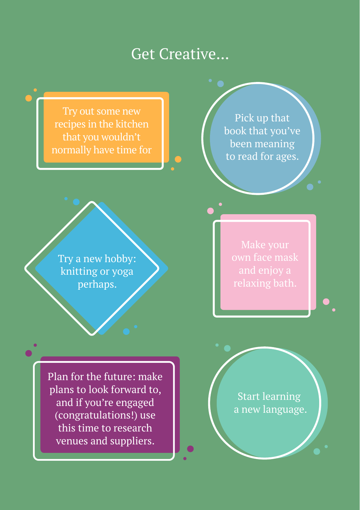#### Get Creative...

Try out some new recipes in the kitchen that you wouldn't normally have time for

Pick up that book that you've been meaning to read for ages.

Try a new hobby: knitting or yoga perhaps.

Plan for the future: make plans to look forward to, and if you're engaged (congratulations!) use this time to research venues and suppliers.

Start learning a new language.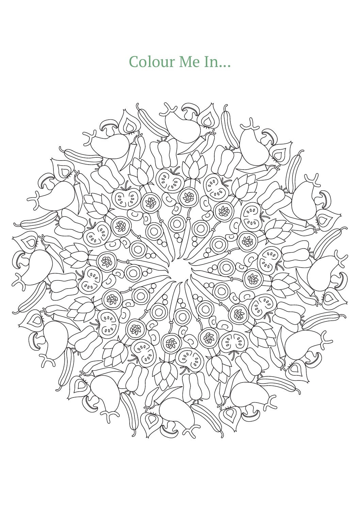## Colour Me In...